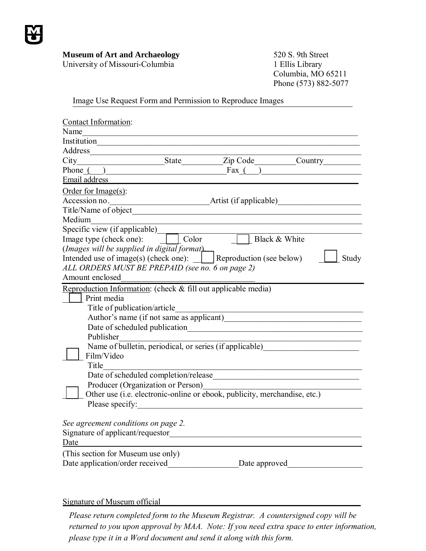

## **Museum of Art and Archaeology**

University of Missouri-Columbia

520 S. 9th Street 1 Ellis Library Columbia, MO 65211 Phone (573) 882-5077

Image Use Request Form and Permission to Reproduce Images

| Contact Information:                                                                |       |                          |         |
|-------------------------------------------------------------------------------------|-------|--------------------------|---------|
| Name                                                                                |       |                          |         |
| Institution                                                                         |       |                          |         |
| Address                                                                             |       |                          |         |
| City                                                                                | State |                          | Country |
| Phone $($ )                                                                         |       | Fax $($                  |         |
| Email address                                                                       |       |                          |         |
| Order for $Image(s)$ :                                                              |       |                          |         |
| Accession no.                                                                       |       | Artist (if applicable)   |         |
| Title/Name of object                                                                |       |                          |         |
| Medium                                                                              |       |                          |         |
| Specific view (if applicable)                                                       |       |                          |         |
| Image type (check one):                                                             | Color | Black & White            |         |
| (Images will be supplied in digital format)                                         |       |                          |         |
| Intended use of image(s) (check one):                                               |       | Reproduction (see below) | Study   |
| ALL ORDERS MUST BE PREPAID (see no. 6 on page 2)                                    |       |                          |         |
| Amount enclosed                                                                     |       |                          |         |
| Reproduction Information: (check & fill out applicable media)                       |       |                          |         |
| Print media                                                                         |       |                          |         |
| Title of publication/article<br><u> 1990 - Johann Barbara, martxa alemaniar arg</u> |       |                          |         |
|                                                                                     |       |                          |         |
| Date of scheduled publication                                                       |       |                          |         |
| Publisher                                                                           |       |                          |         |
| Name of bulletin, periodical, or series (if applicable)                             |       |                          |         |
| Film/Video                                                                          |       |                          |         |
| Title                                                                               |       |                          |         |
| Producer (Organization or Person)                                                   |       |                          |         |
| Other use (i.e. electronic-online or ebook, publicity, merchandise, etc.)           |       |                          |         |
| Please specify:                                                                     |       |                          |         |
|                                                                                     |       |                          |         |
| See agreement conditions on page 2.                                                 |       |                          |         |
| Signature of applicant/requestor                                                    |       |                          |         |
| Date                                                                                |       |                          |         |
| (This section for Museum use only)                                                  |       |                          |         |
| Date application/order received                                                     |       | Date approved            |         |
|                                                                                     |       |                          |         |

## Signature of Museum official

*Please return completed form to the Museum Registrar. A countersigned copy will be returned to you upon approval by MAA. Note: If you need extra space to enter information, please type it in a Word document and send it along with this form.*